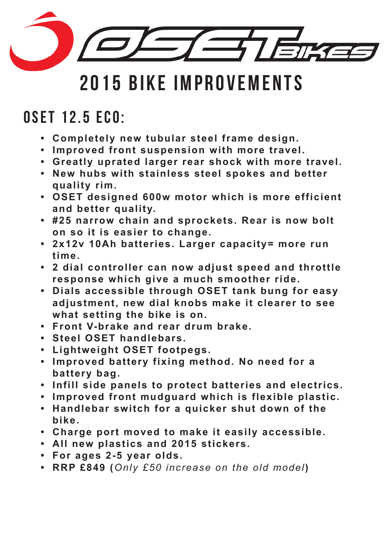

### OSET 12.5 Eco:

- **• Completely new tubular steel frame design.**
- **• Improved front suspension with more travel.**
- **• Greatly uprated larger rear shock with more travel.**
- **• New hubs with stainless steel spokes and better quality rim.**
- **• OSET designed 600w motor which is more efficient and better quality.**
- **• #25 narrow chain and sprockets. Rear is now bolt on so i t is easier to change.**
- **• 2x12v 10Ah batteries. Larger capacity= more run time.**
- **• 2 dial controller can now adjust speed and throttle response which give a much smoother ride.**
- **• Dials accessible through OSET tank bung for easy adjustment, new dial knobs make i t clearer to see what setting the bike is on.**
- **• Front V-brake and rear drum brake.**
- **• Steel OSET handlebars.**
- **• Lightweight OSET footpegs.**
- **• Improved battery fixing method. No need for a battery bag.**
- **• Infill side panels to protect batteries and electrics.**
- **• Improved front mudguard which is flexible plastic.**
- **• Handlebar switch for a quicker shut down o f the bike.**
- **• Charge port moved to make i t easily accessible.**
- **• All new plastics and 2015 stickers.**
- **• For ages 2-5 year olds.**
- **• RRP £849 (***Only £50 increase on the old model***)**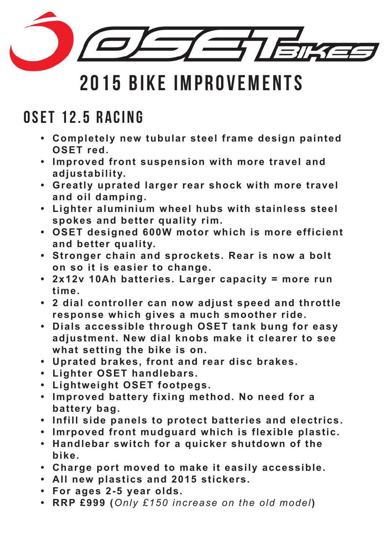

### OSET 12.5 RACING

- **• Completely new tubular steel frame design painted OSET red.**
- **• Improved front suspension with more travel and adjustability.**
- **• Greatly uprated larger rear shock with more travel and oil damping.**
- **• Lighter aluminium wheel hubs with stainless steel spokes and better quality rim.**
- **• OSET designed 600W motor which is more efficient and better quality.**
- **• Stronger chain and sprockets. Rear is now a bolt on so i t is easier to change.**
- **• 2x12v 10Ah batteries. Larger capacity = more run time.**
- **• 2 dial controller can now adjust speed and throttle response which gives a much smoother ride.**
- **• Dials accessible through OSET tank bung for easy adjustment. New dial knobs make i t clearer to see what setting the bike is on.**
- **• Uprated brakes, front and rear disc brakes.**
- **• Lighter OSET handlebars.**
- **• Lightweight OSET footpegs.**
- **• Improved battery fixing method. No need for a battery bag.**
- **• Infill side panels to protect batteries and electrics.**
- **• Imrpoved front mudguard which is flexible plastic.**
- **• Handlebar switch for a quicker shutdown o f the bike.**
- **• Charge port moved to make i t easily accessible.**
- **• All new plastics and 2015 stickers.**
- **• For ages 2-5 year olds.**
- **• RRP £999 (***Only £150 increase on the old model***)**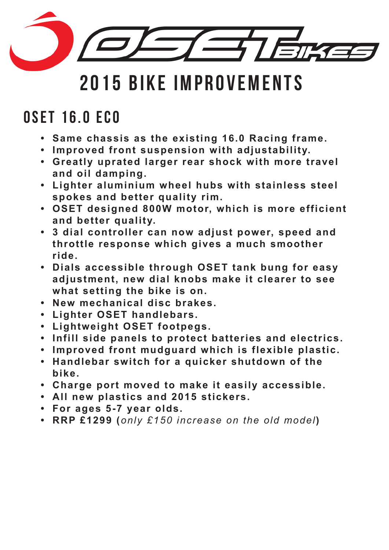

### 0SET 16.0 EC0

- **• Same chassis as the existing 16.0 Racing frame.**
- **• Improved front suspension with adjustability.**
- **• Greatly uprated larger rear shock with more travel and oil damping.**
- **• Lighter aluminium wheel hubs with stainless steel spokes and better quality rim.**
- **• OSET designed 800W motor, which is more efficient and better quality.**
- **• 3 dial controller can now adjust power, speed and throttle response which gives a much smoother ride.**
- **• Dials accessible through OSET tank bung for easy adjustment, new dial knobs make i t clearer to see what setting the bike is on.**
- **• New mechanical disc brakes.**
- **• Lighter OSET handlebars.**
- **• Lightweight OSET footpegs.**
- **• Infill side panels to protect batteries and electrics.**
- **• Improved front mudguard which is flexible plastic.**
- **• Handlebar switch for a quicker shutdown o f the bike.**
- **• Charge port moved to make i t easily accessible.**
- **• All new plastics and 2015 stickers.**
- **• For ages 5-7 year olds.**
- **• RRP £1299 (***only £150 increase on the old model***)**